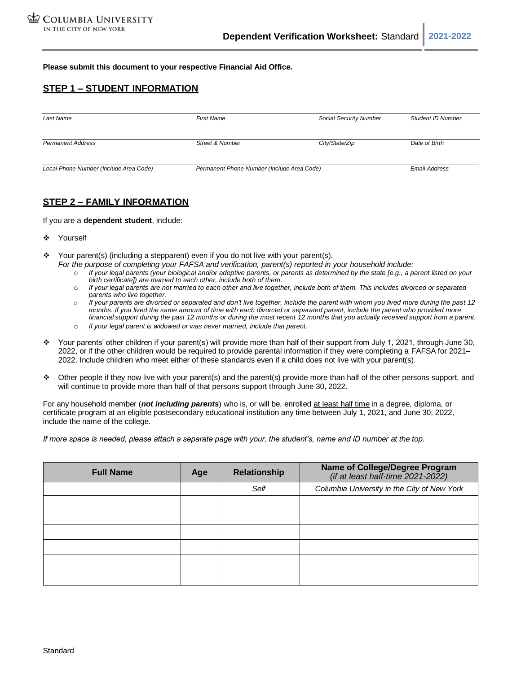**Please submit this document to your respective Financial Aid Office.**

# **STEP 1 – STUDENT INFORMATION**

| Last Name                              | <b>First Name</b>                          | Social Security Number | <b>Student ID Number</b> |
|----------------------------------------|--------------------------------------------|------------------------|--------------------------|
| <b>Permanent Address</b>               | Street & Number                            | City/State/Zip         | Date of Birth            |
| Local Phone Number (Include Area Code) | Permanent Phone Number (Include Area Code) |                        | <b>Email Address</b>     |

### **STEP 2 – FAMILY INFORMATION**

If you are a **dependent student**, include:

- ❖ Yourself
- $\div$  Your parent(s) (including a stepparent) even if you do not live with your parent(s). *For the purpose of completing your FAFSA and verification, parent(s) reported in your household include:*
	- o *If your legal parents (your biological and/or adoptive parents, or parents as determined by the state [e.g., a parent listed on your birth certificate]) are married to each other, include both of them.*
	- o *If your legal parents are not married to each other and live together, include both of them. This includes divorced or separated parents who live together.*
	- o *If your parents are divorced or separated and don't live together, include the parent with whom you lived more during the past 12 months. If you lived the same amount of time with each divorced or separated parent, include the parent who provided more* financial support during the past 12 months or during the most recent 12 months that you actually received support from a parent.
	- o *If your legal parent is widowed or was never married, include that parent.*
- ❖ Your parents' other children if your parent(s) will provide more than half of their support from July 1, 2021, through June 30, 2022, or if the other children would be required to provide parental information if they were completing a FAFSA for 2021– 2022. Include children who meet either of these standards even if a child does not live with your parent(s).
- ❖ Other people if they now live with your parent(s) and the parent(s) provide more than half of the other persons support, and will continue to provide more than half of that persons support through June 30, 2022.

For any household member (*not including parents*) who is, or will be, enrolled at least half time in a degree, diploma, or certificate program at an eligible postsecondary educational institution any time between July 1, 2021, and June 30, 2022, include the name of the college.

*If more space is needed, please attach a separate page with your, the student's, name and ID number at the top.*

| <b>Full Name</b> | Age | Name of College/Degree Program<br>(if at least half-time 2021-2022)<br><b>Relationship</b> |                                             |
|------------------|-----|--------------------------------------------------------------------------------------------|---------------------------------------------|
|                  |     | Self                                                                                       | Columbia University in the City of New York |
|                  |     |                                                                                            |                                             |
|                  |     |                                                                                            |                                             |
|                  |     |                                                                                            |                                             |
|                  |     |                                                                                            |                                             |
|                  |     |                                                                                            |                                             |
|                  |     |                                                                                            |                                             |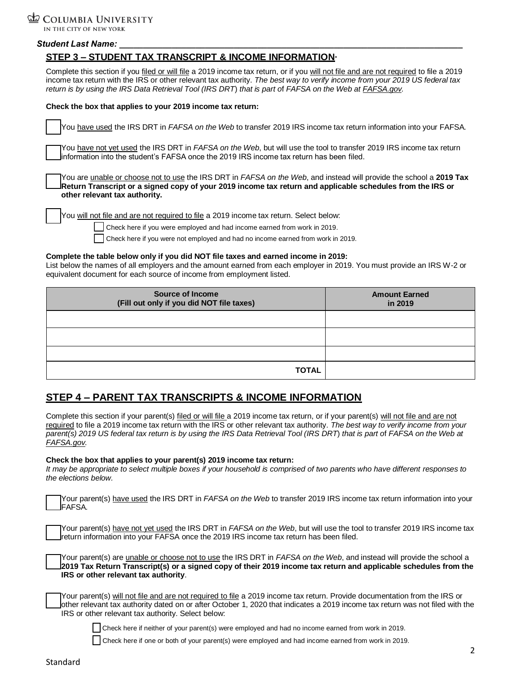

#### *Student Last Name: \_\_\_\_\_\_\_\_\_\_\_\_\_\_\_\_\_\_\_\_\_\_\_\_\_\_\_\_\_\_\_\_\_\_\_\_\_\_\_\_\_\_\_\_\_\_\_\_\_\_\_\_\_\_\_\_\_\_\_\_\_\_\_\_\_\_\_\_\_\_\_\_*

# **STEP 3 – STUDENT TAX TRANSCRIPT & INCOME INFORMATION**

Complete this section if you filed or will file a 2019 income tax return, or if you will not file and are not required to file a 2019 income tax return with the IRS or other relevant tax authority. *The best way to verify income from your 2019 US federal tax return is by using the IRS Data Retrieval Tool (IRS DRT*) *that is part o*f *FAFSA on the Web at FAFSA.gov.*

#### **Check the box that applies to your 2019 income tax return:**

You have used the IRS DRT in *FAFSA on the Web* to transfer 2019 IRS income tax return information into your FAFSA*.*

You have not yet used the IRS DRT in *FAFSA on the Web*, but will use the tool to transfer 2019 IRS income tax return information into the student's FAFSA once the 2019 IRS income tax return has been filed.

You are unable or choose not to use the IRS DRT in *FAFSA on the Web*, and instead will provide the school a **2019 Tax Return Transcript or a signed copy of your 2019 income tax return and applicable schedules from the IRS or other relevant tax authority.**

You will not file and are not required to file a 2019 income tax return. Select below:

Check here if you were employed and had income earned from work in 2019.

Check here if you were not employed and had no income earned from work in 2019.

#### **Complete the table below only if you did NOT file taxes and earned income in 2019:**

List below the names of all employers and the amount earned from each employer in 2019. You must provide an IRS W-2 or equivalent document for each source of income from employment listed.

| <b>Source of Income</b><br>(Fill out only if you did NOT file taxes) | <b>Amount Earned</b><br>in 2019 |  |
|----------------------------------------------------------------------|---------------------------------|--|
|                                                                      |                                 |  |
|                                                                      |                                 |  |
|                                                                      |                                 |  |
| <b>TOTAL</b>                                                         |                                 |  |

# **STEP 4 – PARENT TAX TRANSCRIPTS & INCOME INFORMATION**

Complete this section if your parent(s) filed or will file a 2019 income tax return, or if your parent(s) will not file and are not required to file a 2019 income tax return with the IRS or other relevant tax authority. *The best way to verify income from your parent(s) 2019 US federal tax return is by using the IRS Data Retrieval Tool (IRS DRT*) *that is part o*f *FAFSA on the Web at FAFSA.gov.*

#### **Check the box that applies to your parent(s) 2019 income tax return:**

*It may be appropriate to select multiple boxes if your household is comprised of two parents who have different responses to the elections below.*

Your parent(s) have used the IRS DRT in *FAFSA on the Web* to transfer 2019 IRS income tax return information into your FAFSA*.*

Your parent(s) have not yet used the IRS DRT in *FAFSA on the Web*, but will use the tool to transfer 2019 IRS income tax return information into your FAFSA once the 2019 IRS income tax return has been filed.

Your parent(s) are unable or choose not to use the IRS DRT in *FAFSA on the Web*, and instead will provide the school a **2019 Tax Return Transcript(s) or a signed copy of their 2019 income tax return and applicable schedules from the IRS or other relevant tax authority**.

| TYour parent(s) will not file and are not required to file a 2019 income tax return. Provide documentation from the IRS or     |
|--------------------------------------------------------------------------------------------------------------------------------|
| Jother relevant tax authority dated on or after October 1, 2020 that indicates a 2019 income tax return was not filed with the |
| IRS or other relevant tax authority. Select below:                                                                             |

Check here if neither of your parent(s) were employed and had no income earned from work in 2019.

Check here if one or both of your parent(s) were employed and had income earned from work in 2019.

2